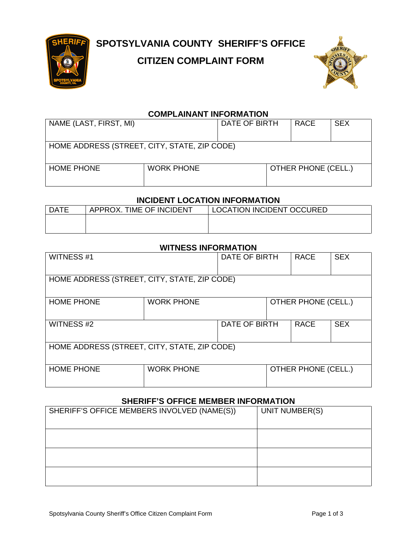

# **SPOTSYLVANIA COUNTY SHERIFF'S OFFICE**

### **CITIZEN COMPLAINT FORM**



#### **COMPLAINANT INFORMATION**

| NAME (LAST, FIRST, MI)                       |                   | DATE OF BIRTH |  | <b>RACE</b>                | <b>SEX</b> |
|----------------------------------------------|-------------------|---------------|--|----------------------------|------------|
| HOME ADDRESS (STREET, CITY, STATE, ZIP CODE) |                   |               |  |                            |            |
| <b>HOME PHONE</b>                            | <b>WORK PHONE</b> |               |  | <b>OTHER PHONE (CELL.)</b> |            |

#### **INCIDENT LOCATION INFORMATION**

| <b>DATE</b> | APPROX. TIME OF INCIDENT | <b>LOCATION INCIDENT OCCURED</b> |
|-------------|--------------------------|----------------------------------|
|             |                          |                                  |
|             |                          |                                  |

#### **WITNESS INFORMATION**

| <b>WITNESS #1</b>                            |                   | DATE OF BIRTH |                            | <b>RACE</b>                | <b>SEX</b> |
|----------------------------------------------|-------------------|---------------|----------------------------|----------------------------|------------|
| HOME ADDRESS (STREET, CITY, STATE, ZIP CODE) |                   |               |                            |                            |            |
| <b>HOME PHONE</b>                            | <b>WORK PHONE</b> |               | <b>OTHER PHONE (CELL.)</b> |                            |            |
| <b>WITNESS#2</b>                             |                   | DATE OF BIRTH |                            | <b>RACE</b>                | <b>SEX</b> |
| HOME ADDRESS (STREET, CITY, STATE, ZIP CODE) |                   |               |                            |                            |            |
| <b>HOME PHONE</b>                            | <b>WORK PHONE</b> |               |                            | <b>OTHER PHONE (CELL.)</b> |            |

#### **SHERIFF'S OFFICE MEMBER INFORMATION**

| SHERIFF'S OFFICE MEMBERS INVOLVED (NAME(S)) | UNIT NUMBER(S) |  |  |
|---------------------------------------------|----------------|--|--|
|                                             |                |  |  |
|                                             |                |  |  |
|                                             |                |  |  |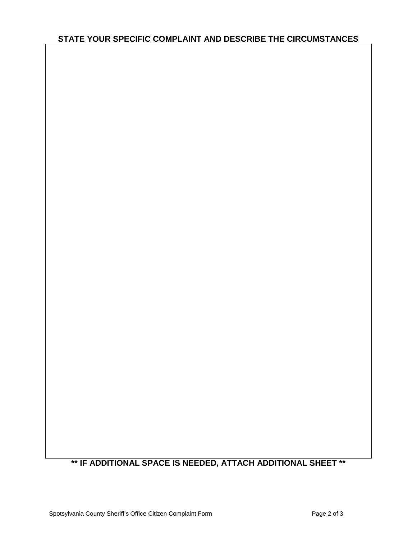#### **STATE YOUR SPECIFIC COMPLAINT AND DESCRIBE THE CIRCUMSTANCES**

## **\*\* IF ADDITIONAL SPACE IS NEEDED, ATTACH ADDITIONAL SHEET \*\***